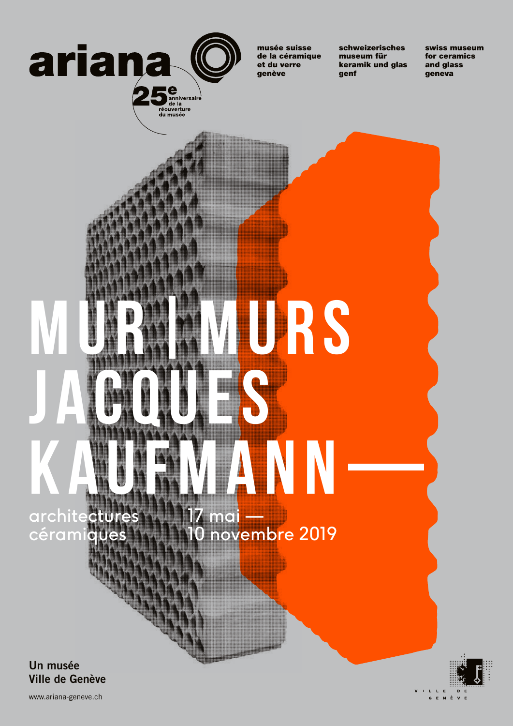

réouverture<br>du musée

musée suisse de la céramique et du verre genève

schweizerisches museum für keramik und glas genf

swiss museum for ceramics geneva and glass

# URS **JACQUES ANN** architectures  céramiques 17 ma<mark>i —</mark> 10 novembre 2019

**Un musée Ville de Genève** V I L L E G E N È

www.ariana-geneve.ch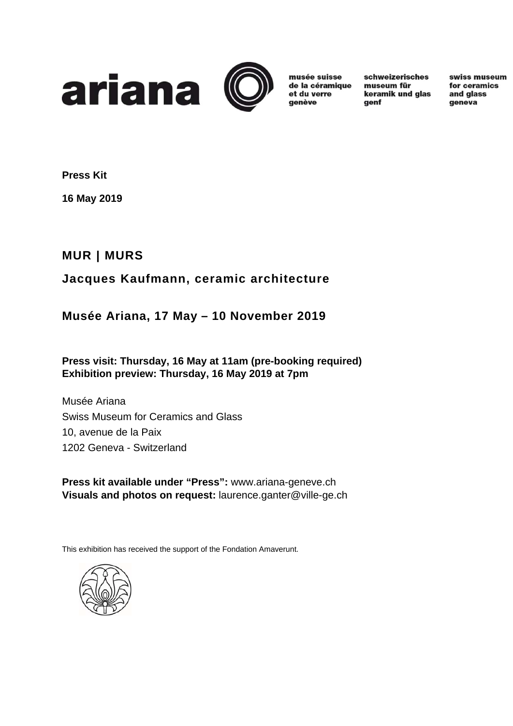

musée suisse de la céramique et du verre qenève

schweizerisches museum für keramik und glas genf

swiss museum for ceramics and glass qeneva

**Press Kit** 

**16 May 2019** 

# **MUR | MURS**

# **Jacques Kaufmann, ceramic architecture**

# **Musée Ariana, 17 May – 10 November 2019**

# **Press visit: Thursday, 16 May at 11am (pre-booking required) Exhibition preview: Thursday, 16 May 2019 at 7pm**

Musée Ariana Swiss Museum for Ceramics and Glass 10, avenue de la Paix 1202 Geneva - Switzerland

**Press kit available under "Press":** www.ariana-geneve.ch **Visuals and photos on request:** laurence.ganter@ville-ge.ch

This exhibition has received the support of the Fondation Amaverunt.

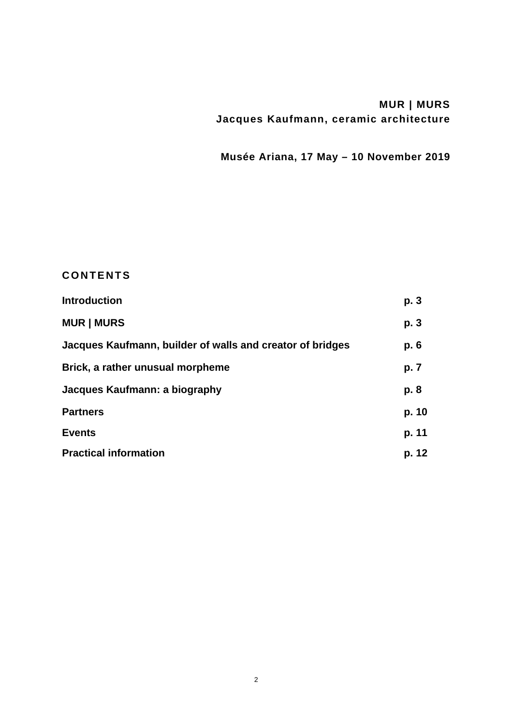# **MUR | MURS Jacques Kaufmann, ceramic architecture**

**Musée Ariana, 17 May – 10 November 2019** 

# **CONTENTS**

| <b>Introduction</b>                                       | p. 3  |
|-----------------------------------------------------------|-------|
| <b>MUR   MURS</b>                                         | p. 3  |
| Jacques Kaufmann, builder of walls and creator of bridges | p. 6  |
| Brick, a rather unusual morpheme                          | p. 7  |
| Jacques Kaufmann: a biography                             | p. 8  |
| <b>Partners</b>                                           | p. 10 |
| <b>Events</b>                                             | p. 11 |
| <b>Practical information</b>                              | p. 12 |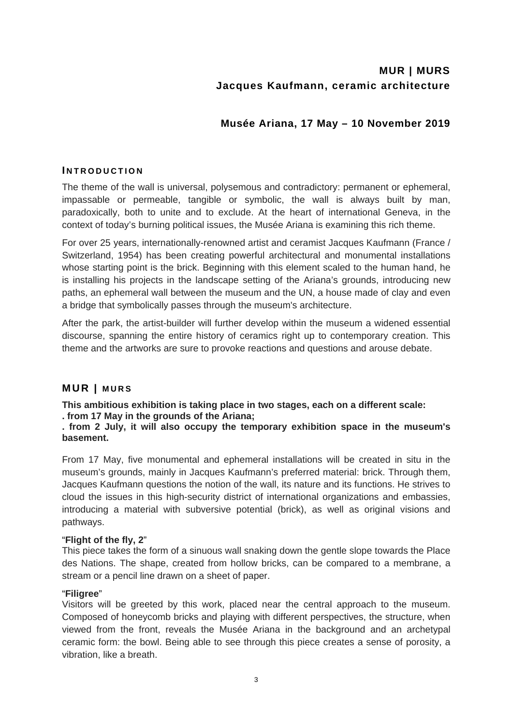# **MUR | MURS Jacques Kaufmann, ceramic architecture**

# **Musée Ariana, 17 May – 10 November 2019**

# **I NTRODUCTION**

The theme of the wall is universal, polysemous and contradictory: permanent or ephemeral, impassable or permeable, tangible or symbolic, the wall is always built by man, paradoxically, both to unite and to exclude. At the heart of international Geneva, in the context of today's burning political issues, the Musée Ariana is examining this rich theme.

For over 25 years, internationally-renowned artist and ceramist Jacques Kaufmann (France / Switzerland, 1954) has been creating powerful architectural and monumental installations whose starting point is the brick. Beginning with this element scaled to the human hand, he is installing his projects in the landscape setting of the Ariana's grounds, introducing new paths, an ephemeral wall between the museum and the UN, a house made of clay and even a bridge that symbolically passes through the museum's architecture.

After the park, the artist-builder will further develop within the museum a widened essential discourse, spanning the entire history of ceramics right up to contemporary creation. This theme and the artworks are sure to provoke reactions and questions and arouse debate.

# **MUR | MURS**

**This ambitious exhibition is taking place in two stages, each on a different scale:** 

# **. from 17 May in the grounds of the Ariana;**

**. from 2 July, it will also occupy the temporary exhibition space in the museum's basement.** 

From 17 May, five monumental and ephemeral installations will be created in situ in the museum's grounds, mainly in Jacques Kaufmann's preferred material: brick. Through them, Jacques Kaufmann questions the notion of the wall, its nature and its functions. He strives to cloud the issues in this high-security district of international organizations and embassies, introducing a material with subversive potential (brick), as well as original visions and pathways.

# "**Flight of the fly, 2**"

This piece takes the form of a sinuous wall snaking down the gentle slope towards the Place des Nations. The shape, created from hollow bricks, can be compared to a membrane, a stream or a pencil line drawn on a sheet of paper.

# "**Filigree**"

Visitors will be greeted by this work, placed near the central approach to the museum. Composed of honeycomb bricks and playing with different perspectives, the structure, when viewed from the front, reveals the Musée Ariana in the background and an archetypal ceramic form: the bowl. Being able to see through this piece creates a sense of porosity, a vibration, like a breath.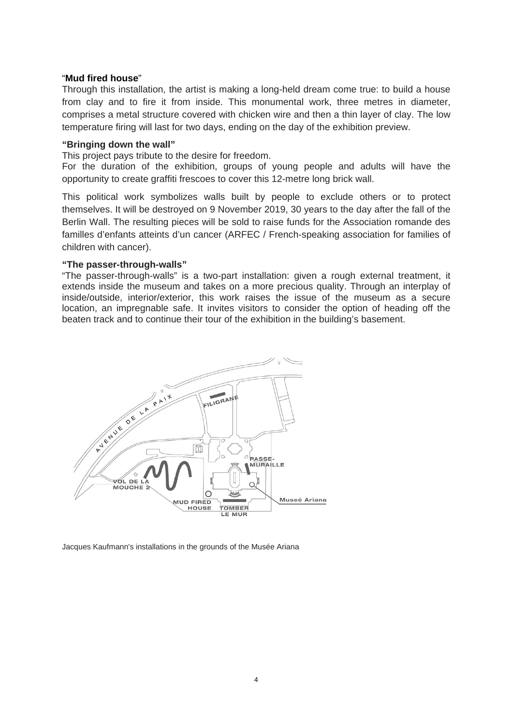## "**Mud fired house**"

Through this installation, the artist is making a long-held dream come true: to build a house from clay and to fire it from inside. This monumental work, three metres in diameter, comprises a metal structure covered with chicken wire and then a thin layer of clay. The low temperature firing will last for two days, ending on the day of the exhibition preview.

## **"Bringing down the wall"**

This project pays tribute to the desire for freedom.

For the duration of the exhibition, groups of young people and adults will have the opportunity to create graffiti frescoes to cover this 12-metre long brick wall.

This political work symbolizes walls built by people to exclude others or to protect themselves. It will be destroyed on 9 November 2019, 30 years to the day after the fall of the Berlin Wall. The resulting pieces will be sold to raise funds for the Association romande des familles d'enfants atteints d'un cancer (ARFEC / French-speaking association for families of children with cancer).

## **"The passer-through-walls"**

"The passer-through-walls" is a two-part installation: given a rough external treatment, it extends inside the museum and takes on a more precious quality. Through an interplay of inside/outside, interior/exterior, this work raises the issue of the museum as a secure location, an impregnable safe. It invites visitors to consider the option of heading off the beaten track and to continue their tour of the exhibition in the building's basement.



Jacques Kaufmann's installations in the grounds of the Musée Ariana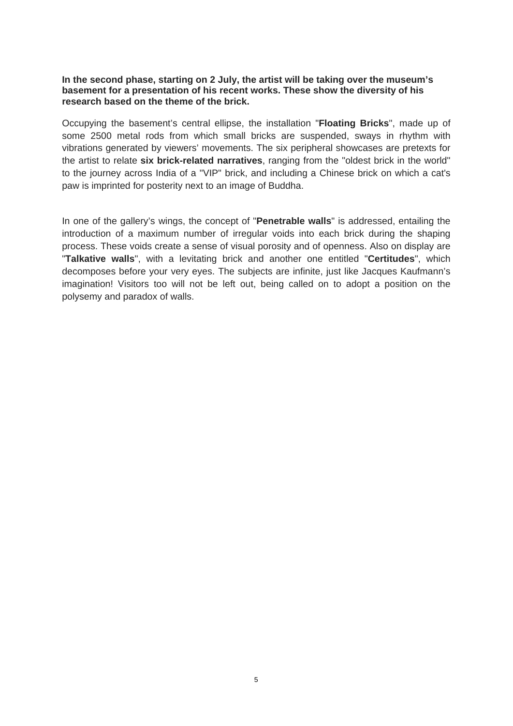## **In the second phase, starting on 2 July, the artist will be taking over the museum's basement for a presentation of his recent works. These show the diversity of his research based on the theme of the brick.**

Occupying the basement's central ellipse, the installation "**Floating Bricks**", made up of some 2500 metal rods from which small bricks are suspended, sways in rhythm with vibrations generated by viewers' movements. The six peripheral showcases are pretexts for the artist to relate **six brick-related narratives**, ranging from the "oldest brick in the world" to the journey across India of a "VIP" brick, and including a Chinese brick on which a cat's paw is imprinted for posterity next to an image of Buddha.

In one of the gallery's wings, the concept of "**Penetrable walls**" is addressed, entailing the introduction of a maximum number of irregular voids into each brick during the shaping process. These voids create a sense of visual porosity and of openness. Also on display are "**Talkative walls**", with a levitating brick and another one entitled "**Certitudes**", which decomposes before your very eyes. The subjects are infinite, just like Jacques Kaufmann's imagination! Visitors too will not be left out, being called on to adopt a position on the polysemy and paradox of walls.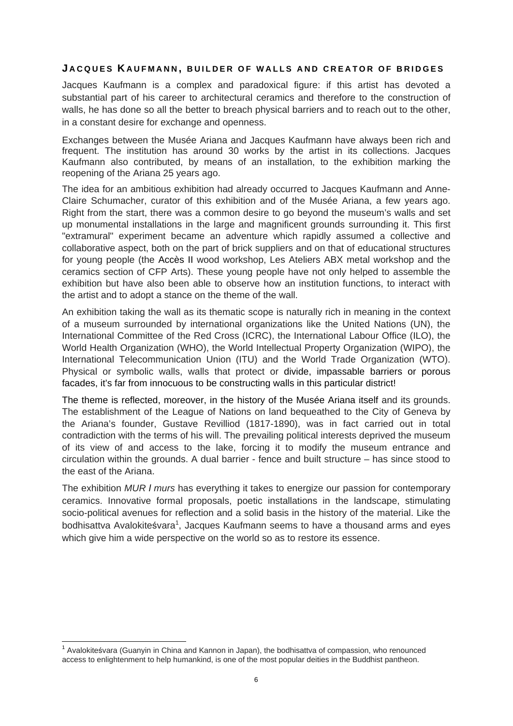# **J ACQUES K AUFMANN , BUILDER OF WALLS AND CREATOR OF BRIDGES**

Jacques Kaufmann is a complex and paradoxical figure: if this artist has devoted a substantial part of his career to architectural ceramics and therefore to the construction of walls, he has done so all the better to breach physical barriers and to reach out to the other, in a constant desire for exchange and openness.

Exchanges between the Musée Ariana and Jacques Kaufmann have always been rich and frequent. The institution has around 30 works by the artist in its collections. Jacques Kaufmann also contributed, by means of an installation, to the exhibition marking the reopening of the Ariana 25 years ago.

The idea for an ambitious exhibition had already occurred to Jacques Kaufmann and Anne-Claire Schumacher, curator of this exhibition and of the Musée Ariana, a few years ago. Right from the start, there was a common desire to go beyond the museum's walls and set up monumental installations in the large and magnificent grounds surrounding it. This first "extramural" experiment became an adventure which rapidly assumed a collective and collaborative aspect, both on the part of brick suppliers and on that of educational structures for young people (the Accès II wood workshop, Les Ateliers ABX metal workshop and the ceramics section of CFP Arts). These young people have not only helped to assemble the exhibition but have also been able to observe how an institution functions, to interact with the artist and to adopt a stance on the theme of the wall.

An exhibition taking the wall as its thematic scope is naturally rich in meaning in the context of a museum surrounded by international organizations like the United Nations (UN), the International Committee of the Red Cross (ICRC), the International Labour Office (ILO), the World Health Organization (WHO), the World Intellectual Property Organization (WIPO), the International Telecommunication Union (ITU) and the World Trade Organization (WTO). Physical or symbolic walls, walls that protect or divide, impassable barriers or porous facades, it's far from innocuous to be constructing walls in this particular district!

The theme is reflected, moreover, in the history of the Musée Ariana itself and its grounds. The establishment of the League of Nations on land bequeathed to the City of Geneva by the Ariana's founder, Gustave Revilliod (1817-1890), was in fact carried out in total contradiction with the terms of his will. The prevailing political interests deprived the museum of its view of and access to the lake, forcing it to modify the museum entrance and circulation within the grounds. A dual barrier - fence and built structure – has since stood to the east of the Ariana.

The exhibition *MUR l murs* has everything it takes to energize our passion for contemporary ceramics. Innovative formal proposals, poetic installations in the landscape, stimulating socio-political avenues for reflection and a solid basis in the history of the material. Like the bodhisattva Avalokiteśvara<sup>1</sup>, Jacques Kaufmann seems to have a thousand arms and eyes which give him a wide perspective on the world so as to restore its essence.

  $1$  Avalokiteśvara (Guanyin in China and Kannon in Japan), the bodhisattva of compassion, who renounced access to enlightenment to help humankind, is one of the most popular deities in the Buddhist pantheon.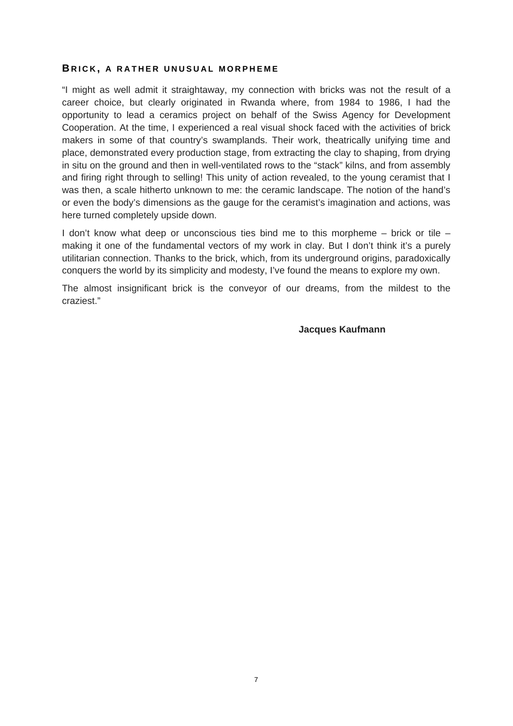## **B RICK , A RATHER UNUSUAL MORPHEME**

"I might as well admit it straightaway, my connection with bricks was not the result of a career choice, but clearly originated in Rwanda where, from 1984 to 1986, I had the opportunity to lead a ceramics project on behalf of the Swiss Agency for Development Cooperation. At the time, I experienced a real visual shock faced with the activities of brick makers in some of that country's swamplands. Their work, theatrically unifying time and place, demonstrated every production stage, from extracting the clay to shaping, from drying in situ on the ground and then in well-ventilated rows to the "stack" kilns, and from assembly and firing right through to selling! This unity of action revealed, to the young ceramist that I was then, a scale hitherto unknown to me: the ceramic landscape. The notion of the hand's or even the body's dimensions as the gauge for the ceramist's imagination and actions, was here turned completely upside down.

I don't know what deep or unconscious ties bind me to this morpheme – brick or tile – making it one of the fundamental vectors of my work in clay. But I don't think it's a purely utilitarian connection. Thanks to the brick, which, from its underground origins, paradoxically conquers the world by its simplicity and modesty, I've found the means to explore my own.

The almost insignificant brick is the conveyor of our dreams, from the mildest to the craziest."

## **Jacques Kaufmann**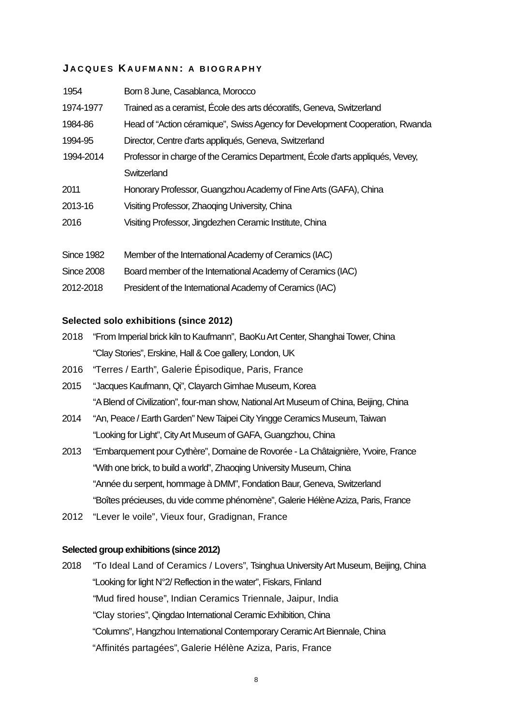# **J ACQUES K AUFMANN : A BIOGRAPHY**

| 1954              | Born 8 June, Casablanca, Morocco                                               |
|-------------------|--------------------------------------------------------------------------------|
| 1974-1977         | Trained as a ceramist, École des arts décoratifs, Geneva, Switzerland          |
| 1984-86           | Head of "Action céramique", Swiss Agency for Development Cooperation, Rwanda   |
| 1994-95           | Director, Centre d'arts appliqués, Geneva, Switzerland                         |
| 1994-2014         | Professor in charge of the Ceramics Department, École d'arts appliqués, Vevey, |
|                   | Switzerland                                                                    |
| 2011              | Honorary Professor, Guangzhou Academy of Fine Arts (GAFA), China               |
| 2013-16           | Visiting Professor, Zhaoqing University, China                                 |
| 2016              | Visiting Professor, Jingdezhen Ceramic Institute, China                        |
| <b>Since 1982</b> | Member of the International Academy of Ceramics (IAC)                          |
| <b>Since 2008</b> | Board member of the International Academy of Ceramics (IAC)                    |
| 2012-2018         | President of the International Academy of Ceramics (IAC)                       |

# **Selected solo exhibitions (since 2012)**

- 2018 "From Imperial brick kiln to Kaufmann", BaoKu Art Center, Shanghai Tower, China "Clay Stories", Erskine, Hall & Coe gallery, London, UK
- 2016 "Terres / Earth", Galerie Épisodique, Paris, France
- 2015 "Jacques Kaufmann, Qi", Clayarch Gimhae Museum, Korea "A Blend of Civilization", four-man show, National Art Museum of China, Beijing, China
- 2014 "An, Peace / Earth Garden" New Taipei City Yingge Ceramics Museum, Taiwan "Looking for Light", City Art Museum of GAFA, Guangzhou, China
- 2013 "Embarquement pour Cythère", Domaine de Rovorée La Châtaignière, Yvoire, France "With one brick, to build a world", Zhaoqing University Museum, China "Année du serpent, hommage à DMM", Fondation Baur, Geneva, Switzerland "Boîtes précieuses, du vide comme phénomène", Galerie Hélène Aziza, Paris, France
- 2012 "Lever le voile", Vieux four, Gradignan, France

# **Selected group exhibitions (since 2012)**

2018 "To Ideal Land of Ceramics / Lovers", Tsinghua University Art Museum, Beijing, China "Looking for light N°2/ Reflection in the water", Fiskars, Finland "Mud fired house", Indian Ceramics Triennale, Jaipur, India "Clay stories", Qingdao International Ceramic Exhibition, China "Columns", Hangzhou International Contemporary Ceramic Art Biennale, China "Affinités partagées", Galerie Hélène Aziza, Paris, France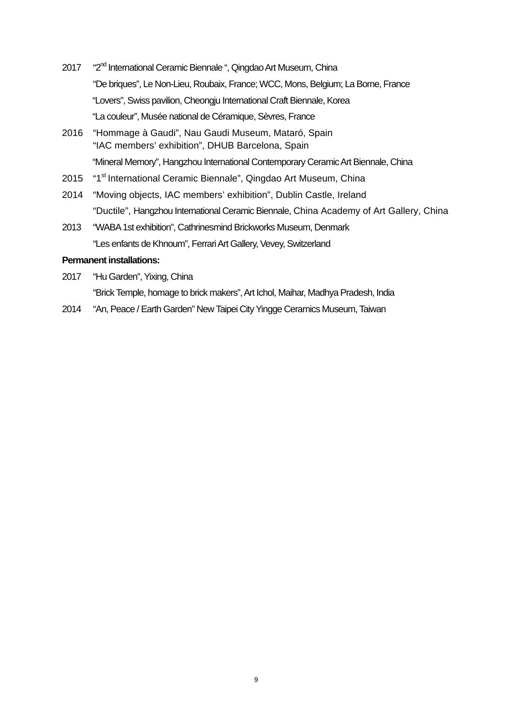- 2017 "2<sup>nd</sup> International Ceramic Biennale", Qingdao Art Museum, China "De briques", Le Non-Lieu, Roubaix, France; WCC, Mons, Belgium; La Borne, France "Lovers", Swiss pavilion, Cheongju International Craft Biennale, Korea "La couleur", Musée national de Céramique, Sèvres, France
- 2016 "Hommage à Gaudi", Nau Gaudi Museum, Mataró, Spain "IAC members' exhibition", DHUB Barcelona, Spain "Mineral Memory", Hangzhou International Contemporary Ceramic Art Biennale, China
- 2015 "1<sup>st</sup> International Ceramic Biennale", Qingdao Art Museum, China
- 2014 "Moving objects, IAC members' exhibition", Dublin Castle, Ireland "Ductile", Hangzhou International Ceramic Biennale, China Academy of Art Gallery, China
- 2013 "WABA 1st exhibition", Cathrinesmind Brickworks Museum, Denmark "Les enfants de Khnoum", Ferrari Art Gallery, Vevey, Switzerland

## **Permanent installations:**

2017 "Hu Garden", Yixing, China

"Brick Temple, homage to brick makers", Art Ichol, Maihar, Madhya Pradesh, India

2014 "An, Peace / Earth Garden" New Taipei City Yingge Ceramics Museum, Taiwan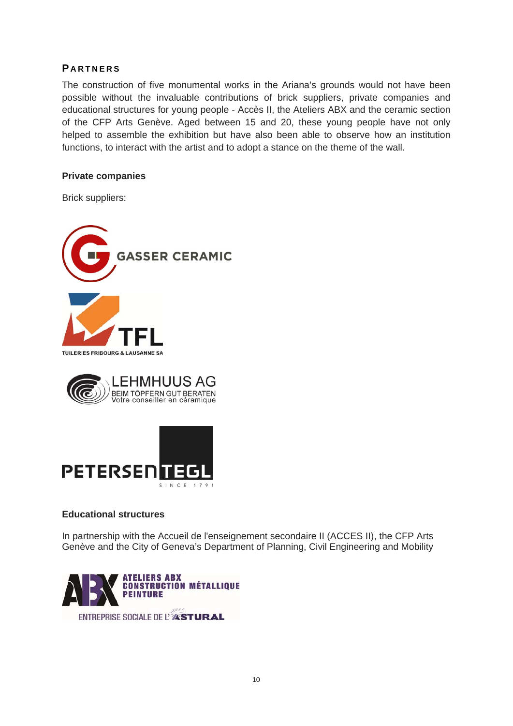# **P ARTNERS**

The construction of five monumental works in the Ariana's grounds would not have been possible without the invaluable contributions of brick suppliers, private companies and educational structures for young people - Accès II, the Ateliers ABX and the ceramic section of the CFP Arts Genève. Aged between 15 and 20, these young people have not only helped to assemble the exhibition but have also been able to observe how an institution functions, to interact with the artist and to adopt a stance on the theme of the wall.

# **Private companies**

Brick suppliers:





# **Educational structures**

In partnership with the Accueil de l'enseignement secondaire II (ACCES II), the CFP Arts Genève and the City of Geneva's Department of Planning, Civil Engineering and Mobility

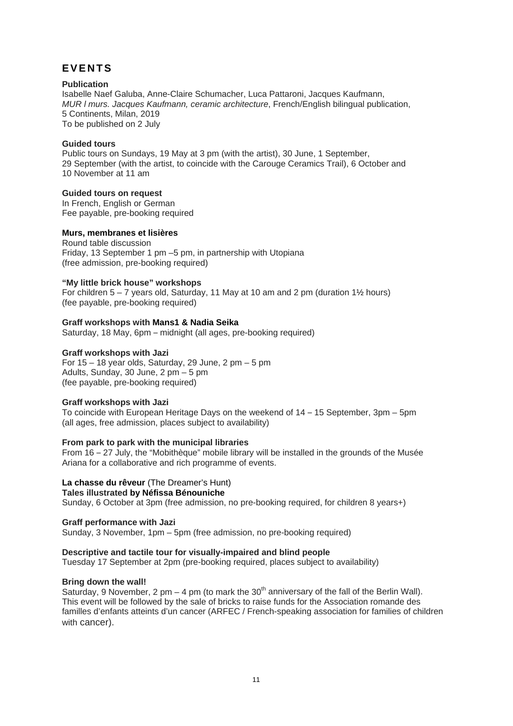# **EVENTS**

#### **Publication**

Isabelle Naef Galuba, Anne-Claire Schumacher, Luca Pattaroni, Jacques Kaufmann, *MUR l murs. Jacques Kaufmann, ceramic architecture*, French/English bilingual publication, 5 Continents, Milan, 2019 To be published on 2 July

#### **Guided tours**

Public tours on Sundays, 19 May at 3 pm (with the artist), 30 June, 1 September, 29 September (with the artist, to coincide with the Carouge Ceramics Trail), 6 October and 10 November at 11 am

#### **Guided tours on request**

In French, English or German Fee payable, pre-booking required

## **Murs, membranes et lisières**

Round table discussion Friday, 13 September 1 pm –5 pm, in partnership with Utopiana (free admission, pre-booking required)

#### **"My little brick house" workshops**

For children  $5 - 7$  years old, Saturday, 11 May at 10 am and 2 pm (duration  $1\frac{1}{2}$  hours) (fee payable, pre-booking required)

#### **Graff workshops with Mans1 & Nadia Seika**

Saturday, 18 May, 6pm – midnight (all ages, pre-booking required)

#### **Graff workshops with Jazi**

For  $15 - 18$  year olds, Saturday, 29 June, 2 pm  $-5$  pm Adults, Sunday, 30 June, 2 pm – 5 pm (fee payable, pre-booking required)

## **Graff workshops with Jazi**

To coincide with European Heritage Days on the weekend of 14 – 15 September, 3pm – 5pm (all ages, free admission, places subject to availability)

#### **From park to park with the municipal libraries**

From 16 – 27 July, the "Mobithèque" mobile library will be installed in the grounds of the Musée Ariana for a collaborative and rich programme of events.

## **La chasse du rêveur** (The Dreamer's Hunt)

**Tales illustrated by Néfissa Bénouniche** 

Sunday, 6 October at 3pm (free admission, no pre-booking required, for children 8 years+)

**Graff performance with Jazi**

# Sunday, 3 November, 1pm – 5pm (free admission, no pre-booking required)

## **Descriptive and tactile tour for visually-impaired and blind people**

Tuesday 17 September at 2pm (pre-booking required, places subject to availability)

## **Bring down the wall!**

Saturday, 9 November, 2 pm – 4 pm (to mark the 30<sup>th</sup> anniversary of the fall of the Berlin Wall). This event will be followed by the sale of bricks to raise funds for the Association romande des familles d'enfants atteints d'un cancer (ARFEC / French-speaking association for families of children with cancer).